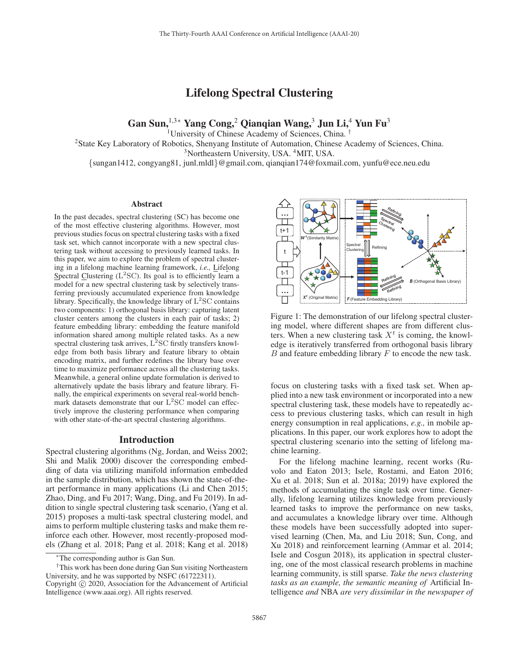# Lifelong Spectral Clustering

Gan Sun,<sup>1,3∗</sup> Yang Cong,<sup>2</sup> Qianqian Wang,<sup>3</sup> Jun Li,<sup>4</sup> Yun Fu<sup>3</sup>

<sup>1</sup>University of Chinese Academy of Sciences, China.<sup>1</sup>

2State Key Laboratory of Robotics, Shenyang Institute of Automation, Chinese Academy of Sciences, China.

<sup>3</sup>Northeastern University, USA. <sup>4</sup>MIT, USA.

{sungan1412, congyang81, junl.mldl}@gmail.com, qianqian174@foxmail.com, yunfu@ece.neu.edu

#### **Abstract**

In the past decades, spectral clustering (SC) has become one of the most effective clustering algorithms. However, most previous studies focus on spectral clustering tasks with a fixed task set, which cannot incorporate with a new spectral clustering task without accessing to previously learned tasks. In this paper, we aim to explore the problem of spectral clustering in a lifelong machine learning framework, *i.e.,* Lifelong Spectral Clustering  $(L<sup>2</sup>SC)$ . Its goal is to efficiently learn a model for a new spectral clustering task by selectively transferring previously accumulated experience from knowledge library. Specifically, the knowledge library of  $L<sup>2</sup>SC$  contains two components: 1) orthogonal basis library: capturing latent cluster centers among the clusters in each pair of tasks; 2) feature embedding library: embedding the feature manifold information shared among multiple related tasks. As a new spectral clustering task arrives,  $L^2$ SC firstly transfers knowledge from both basis library and feature library to obtain encoding matrix, and further redefines the library base over time to maximize performance across all the clustering tasks. Meanwhile, a general online update formulation is derived to alternatively update the basis library and feature library. Finally, the empirical experiments on several real-world benchmark datasets demonstrate that our  $L<sup>2</sup>SC$  model can effectively improve the clustering performance when comparing with other state-of-the-art spectral clustering algorithms.

#### Introduction

Spectral clustering algorithms (Ng, Jordan, and Weiss 2002; Shi and Malik 2000) discover the corresponding embedding of data via utilizing manifold information embedded in the sample distribution, which has shown the state-of-theart performance in many applications (Li and Chen 2015; Zhao, Ding, and Fu 2017; Wang, Ding, and Fu 2019). In addition to single spectral clustering task scenario, (Yang et al. 2015) proposes a multi-task spectral clustering model, and aims to perform multiple clustering tasks and make them reinforce each other. However, most recently-proposed models (Zhang et al. 2018; Pang et al. 2018; Kang et al. 2018)



Figure 1: The demonstration of our lifelong spectral clustering model, where different shapes are from different clusters. When a new clustering task  $X<sup>t</sup>$  is coming, the knowledge is iteratively transferred from orthogonal basis library  $B$  and feature embedding library  $F$  to encode the new task.

focus on clustering tasks with a fixed task set. When applied into a new task environment or incorporated into a new spectral clustering task, these models have to repeatedly access to previous clustering tasks, which can result in high energy consumption in real applications, *e.g.,* in mobile applications. In this paper, our work explores how to adopt the spectral clustering scenario into the setting of lifelong machine learning.

For the lifelong machine learning, recent works (Ruvolo and Eaton 2013; Isele, Rostami, and Eaton 2016; Xu et al. 2018; Sun et al. 2018a; 2019) have explored the methods of accumulating the single task over time. Generally, lifelong learning utilizes knowledge from previously learned tasks to improve the performance on new tasks, and accumulates a knowledge library over time. Although these models have been successfully adopted into supervised learning (Chen, Ma, and Liu 2018; Sun, Cong, and Xu 2018) and reinforcement learning (Ammar et al. 2014; Isele and Cosgun 2018), its application in spectral clustering, one of the most classical research problems in machine learning community, is still sparse. *Take the news clustering tasks as an example, the semantic meaning of* Artificial Intelligence *and* NBA *are very dissimilar in the newspaper of*

<sup>∗</sup>The corresponding author is Gan Sun.

<sup>†</sup>This work has been done during Gan Sun visiting Northeastern University, and he was supported by NSFC (61722311).

Copyright  $\odot$  2020, Association for the Advancement of Artificial Intelligence (www.aaai.org). All rights reserved.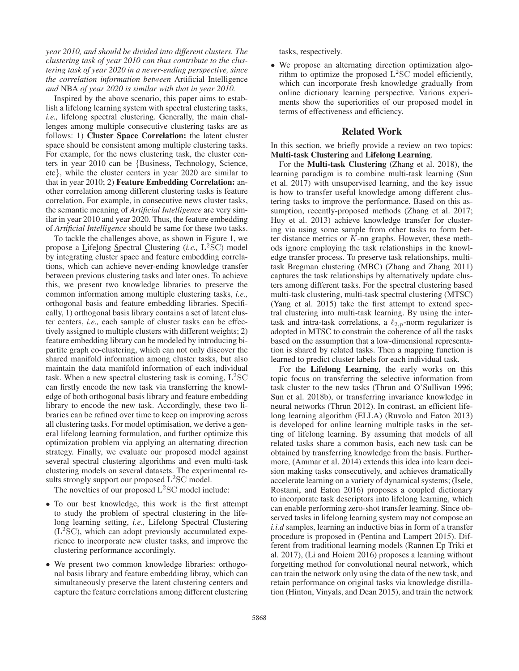*year 2010, and should be divided into different clusters. The clustering task of year 2010 can thus contribute to the clustering task of year 2020 in a never-ending perspective, since the correlation information between* Artificial Intelligence *and* NBA *of year 2020 is similar with that in year 2010.*

Inspired by the above scenario, this paper aims to establish a lifelong learning system with spectral clustering tasks, *i.e.,* lifelong spectral clustering. Generally, the main challenges among multiple consecutive clustering tasks are as follows: 1) Cluster Space Correlation: the latent cluster space should be consistent among multiple clustering tasks. For example, for the news clustering task, the cluster centers in year 2010 can be {Business, Technology, Science, etc}, while the cluster centers in year 2020 are similar to that in year 2010; 2) Feature Embedding Correlation: another correlation among different clustering tasks is feature correlation. For example, in consecutive news cluster tasks, the semantic meaning of *Artificial Intelligence* are very similar in year 2010 and year 2020. Thus, the feature embedding of *Artificial Intelligence* should be same for these two tasks.

To tackle the challenges above, as shown in Figure 1, we propose a Lifelong Spectral Clustering (*i.e.,* L<sup>2</sup>SC) model by integrating cluster space and feature embedding correlations, which can achieve never-ending knowledge transfer between previous clustering tasks and later ones. To achieve this, we present two knowledge libraries to preserve the common information among multiple clustering tasks, *i.e.,* orthogonal basis and feature embedding libraries. Specifically, 1) orthogonal basis library contains a set of latent cluster centers, *i.e.,* each sample of cluster tasks can be effectively assigned to multiple clusters with different weights; 2) feature embedding library can be modeled by introducing bipartite graph co-clustering, which can not only discover the shared manifold information among cluster tasks, but also maintain the data manifold information of each individual task. When a new spectral clustering task is coming,  $L<sup>2</sup>SC$ can firstly encode the new task via transferring the knowledge of both orthogonal basis library and feature embedding library to encode the new task. Accordingly, these two libraries can be refined over time to keep on improving across all clustering tasks. For model optimisation, we derive a general lifelong learning formulation, and further optimize this optimization problem via applying an alternating direction strategy. Finally, we evaluate our proposed model against several spectral clustering algorithms and even multi-task clustering models on several datasets. The experimental results strongly support our proposed  $L^2SC$  model.

The novelties of our proposed  $L<sup>2</sup>SC$  model include:

- To our best knowledge, this work is the first attempt to study the problem of spectral clustering in the lifelong learning setting, *i.e.,* Lifelong Spectral Clustering  $(L<sup>2</sup>SC)$ , which can adopt previously accumulated experience to incorporate new cluster tasks, and improve the clustering performance accordingly.
- We present two common knowledge libraries: orthogonal basis library and feature embedding libray, which can simultaneously preserve the latent clustering centers and capture the feature correlations among different clustering

tasks, respectively.

• We propose an alternating direction optimization algorithm to optimize the proposed L2SC model efficiently, which can incorporate fresh knowledge gradually from online dictionary learning perspective. Various experiments show the superiorities of our proposed model in terms of effectiveness and efficiency.

### Related Work

In this section, we briefly provide a review on two topics: Multi-task Clustering and Lifelong Learning.

For the Multi-task Clustering (Zhang et al. 2018), the learning paradigm is to combine multi-task learning (Sun et al. 2017) with unsupervised learning, and the key issue is how to transfer useful knowledge among different clustering tasks to improve the performance. Based on this assumption, recently-proposed methods (Zhang et al. 2017; Huy et al. 2013) achieve knowledge transfer for clustering via using some sample from other tasks to form better distance metrics or  $K$ -nn graphs. However, these methods ignore employing the task relationships in the knowledge transfer process. To preserve task relationships, multitask Bregman clustering (MBC) (Zhang and Zhang 2011) captures the task relationships by alternatively update clusters among different tasks. For the spectral clustering based multi-task clustering, multi-task spectral clustering (MTSC) (Yang et al. 2015) take the first attempt to extend spectral clustering into multi-task learning. By using the intertask and intra-task correlations, a  $\ell_{2,p}$ -norm regularizer is adopted in MTSC to constrain the coherence of all the tasks based on the assumption that a low-dimensional representation is shared by related tasks. Then a mapping function is learned to predict cluster labels for each individual task.

For the Lifelong Learning, the early works on this topic focus on transferring the selective information from task cluster to the new tasks (Thrun and O'Sullivan 1996; Sun et al. 2018b), or transferring invariance knowledge in neural networks (Thrun 2012). In contrast, an efficient lifelong learning algorithm (ELLA) (Ruvolo and Eaton 2013) is developed for online learning multiple tasks in the setting of lifelong learning. By assuming that models of all related tasks share a common basis, each new task can be obtained by transferring knowledge from the basis. Furthermore, (Ammar et al. 2014) extends this idea into learn decision making tasks consecutively, and achieves dramatically accelerate learning on a variety of dynamical systems; (Isele, Rostami, and Eaton 2016) proposes a coupled dictionary to incorporate task descriptors into lifelong learning, which can enable performing zero-shot transfer learning. Since observed tasks in lifelong learning system may not compose an *i.i.d* samples, learning an inductive bias in form of a transfer procedure is proposed in (Pentina and Lampert 2015). Different from traditional learning models (Rannen Ep Triki et al. 2017), (Li and Hoiem 2016) proposes a learning without forgetting method for convolutional neural network, which can train the network only using the data of the new task, and retain performance on original tasks via knowledge distillation (Hinton, Vinyals, and Dean 2015), and train the network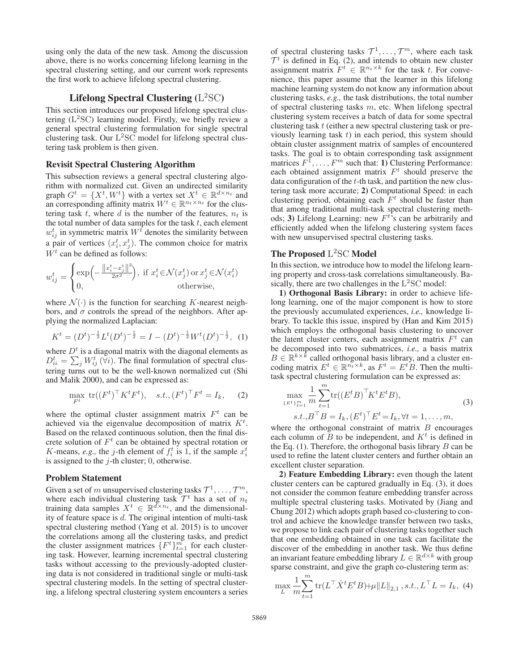using only the data of the new task. Among the discussion above, there is no works concerning lifelong learning in the spectral clustering setting, and our current work represents the first work to achieve lifelong spectral clustering.

## Lifelong Spectral Clustering  $(L<sup>2</sup>SC)$

This section introduces our proposed lifelong spectral clustering  $(L<sup>2</sup>SC)$  learning model. Firstly, we briefly review a general spectral clustering formulation for single spectral clustering task. Our  $L<sup>2</sup>SC$  model for lifelong spectral clustering task problem is then given.

### Revisit Spectral Clustering Algorithm

This subsection reviews a general spectral clustering algorithm with normalized cut. Given an undirected similarity graph  $G^t = \{X^t, W^t\}$  with a vertex set  $X^t \in \mathbb{R}^{d \times n_t}$  and an corresponding affinity matrix  $W^t \in \mathbb{R}^{n_t \times n_t}$  for the clustering task t, where d is the number of the features,  $n_t$  is the total number of data samples for the task  $t$ , each element  $w_{ij}^t$  in symmetric matrix  $W^t$  denotes the similarity between a pair of vertices  $(x_i^t, x_j^t)$ . The common choice for matrix  $W<sup>t</sup>$  can be defined as follows:

$$
w_{ij}^t = \begin{cases} \exp\left(-\frac{\left\|x_i^t - x_j^t\right\|^2}{2\sigma^2}\right), & \text{if } x_i^t \in \mathcal{N}(x_j^t) \text{ or } x_j^t \in \mathcal{N}(x_i^t) \\ 0, & \text{otherwise,} \end{cases}
$$

where  $\mathcal{N}(\cdot)$  is the function for searching K-nearest neighbors, and  $\sigma$  controls the spread of the neighbors. After applying the normalized Laplacian:

$$
K^{t} = (D^{t})^{-\frac{1}{2}} L^{t} (D^{t})^{-\frac{1}{2}} = I - (D^{t})^{-\frac{1}{2}} W^{t} (D^{t})^{-\frac{1}{2}}, (1)
$$

where  $D<sup>t</sup>$  is a diagonal matrix with the diagonal elements as  $D_{ii}^t = \sum_j W_{ij}^t (\forall i)$ . The final formulation of spectral clustering turns out to be the well-known normalized cut (Shi and Malik 2000), and can be expressed as:

$$
\max_{F^t} \operatorname{tr}((F^t)^\top K^t F^t), \quad s.t., (F^t)^\top F^t = I_k,\tag{2}
$$

where the optimal cluster assignment matrix  $F<sup>t</sup>$  can be achieved via the eigenvalue decomposition of matrix  $K^t$ . Based on the relaxed continuous solution, then the final discrete solution of  $F<sup>t</sup>$  can be obtained by spectral rotation or K-means, *e.g.*, the *j*-th element of  $f_i^t$  is 1, if the sample  $x_i^t$ is assigned to the  $j$ -th cluster; 0, otherwise.

#### Problem Statement

Given a set of m unsupervised clustering tasks  $\mathcal{T}^1, \ldots, \mathcal{T}^m$ , where each individual clustering task  $\mathcal{T}^t$  has a set of  $n_t$ training data samples  $X^t \in \mathbb{R}^{d \times n_t}$ , and the dimensionality of feature space is d. The original intention of multi-task spectral clustering method (Yang et al. 2015) is to uncover the correlations among all the clustering tasks, and predict the cluster assignment matrices  $\{F^t\}_{t=1}^m$  for each clustering task. However, learning incremental spectral clustering tasks without accessing to the previously-adopted clustering data is not considered in traditional single or multi-task spectral clustering models. In the setting of spectral clustering, a lifelong spectral clustering system encounters a series

of spectral clustering tasks  $\mathcal{T}^1, \ldots, \mathcal{T}^m$ , where each task  $\mathcal{T}^t$  is defined in Eq. (2), and intends to obtain new cluster assignment matrix  $F^t \in \mathbb{R}^{n_t \times k}$  for the task t. For convenience, this paper assume that the learner in this lifelong machine learning system do not know any information about clustering tasks, *e.g.,* the task distributions, the total number of spectral clustering tasks  $m$ , etc. When lifelong spectral clustering system receives a batch of data for some spectral clustering task t (either a new spectral clustering task or previously learning task  $t$ ) in each period, this system should obtain cluster assignment matrix of samples of encountered tasks. The goal is to obtain corresponding task assignment matrices  $F^1, \ldots, F^m$  such that: 1) Clustering Performance: each obtained assignment matrix  $F<sup>t</sup>$  should preserve the data configuration of the  $t$ -th task, and partition the new clustering task more accurate; 2) Computational Speed: in each clustering period, obtaining each  $F<sup>t</sup>$  should be faster than that among traditional multi-task spectral clustering methods; 3) Lifelong Learning: new  $F^{t}$ 's can be arbitrarily and efficiently added when the lifelong clustering system faces with new unsupervised spectral clustering tasks.

### The Proposed  $L^2SC$  Model

In this section, we introduce how to model the lifelong learning property and cross-task correlations simultaneously. Basically, there are two challenges in the  $L<sup>2</sup>SC$  model:

1) Orthogonal Basis Library: in order to achieve lifelong learning, one of the major component is how to store the previously accumulated experiences, *i.e.,* knowledge library. To tackle this issue, inspired by (Han and Kim 2015) which employs the orthogonal basis clustering to uncover the latent cluster centers, each assignment matrix  $F<sup>t</sup>$  can be decomposed into two submatrices, *i.e.,* a basis matrix  $B \in \mathbb{R}^{k \times k}$  called orthogonal basis library, and a cluster encoding matrix  $E^t \in \mathbb{R}^{n_t \times k}$ , as  $F^t = E^t B$ . Then the multitask spectral clustering formulation can be expressed as:

$$
\max_{\{E^t\}_{t=1}^m} \frac{1}{m} \sum_{t=1}^m \text{tr}((E^t B)^\top K^t E^t B),
$$
\n
$$
s.t., B^\top B = I_k, (E^t)^\top E^t = I_k, \forall t = 1, ..., m,
$$
\n(3)

where the orthogonal constraint of matrix  $B$  encourages each column of B to be independent, and  $K<sup>t</sup>$  is defined in the Eq.  $(1)$ . Therefore, the orthogonal basis library  $B$  can be used to refine the latent cluster centers and further obtain an excellent cluster separation.

2) Feature Embedding Library: even though the latent cluster centers can be captured gradually in Eq. (3), it does not consider the common feature embedding transfer across multiple spectral clustering tasks. Motivated by (Jiang and Chung 2012) which adopts graph based co-clustering to control and achieve the knowledge transfer between two tasks, we propose to link each pair of clustering tasks together such that one embedding obtained in one task can facilitate the discover of the embedding in another task. We thus define an invariant feature embedding library  $L \in \mathbb{R}^{d \times k}$  with group sparse constraint, and give the graph co-clustering term as:

$$
\max_{L} \frac{1}{m} \sum_{t=1}^{m} \text{tr}(L^{\top} \hat{X}^{t} E^{t} B) + \mu \|L\|_{2,1}, s.t., L^{\top} L = I_{k}, (4)
$$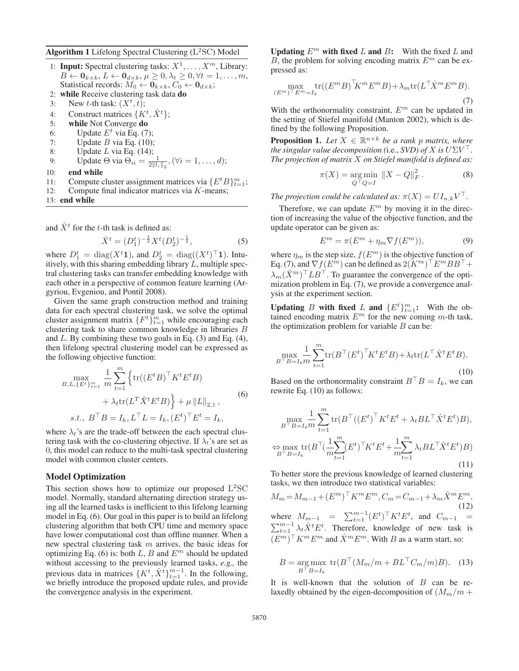Algorithm 1 Lifelong Spectral Clustering  $(L<sup>2</sup>SC)$  Model

- 1: **Input:** Spectral clustering tasks:  $X^1, \ldots, X^m$ , Library:  $B \leftarrow \mathbf{0}_{k \times k}, L \leftarrow \mathbf{0}_{d \times k}, \mu \geq 0, \lambda_t \geq 0, \forall t = 1, \ldots, m,$ Statistical records:  $M_0 \leftarrow \mathbf{0}_{k \times k}, C_0 \leftarrow \mathbf{0}_{d \times k}$ ;
- 2: while Receive clustering task data do
- 3: New *t*-th task:  $(X^t, t)$ ;
- 4: Construct matrices  $\{K^t, \hat{X}^t\}$ ;
- 5: while Not Converge do
- 6: Update  $E^t$  via Eq. (7);
- 7: Update  $B$  via Eq. (10);
- 8: Update L via Eq.  $(14)$ ;
- 9: Update  $\Theta$  via  $\Theta_{ii} = \frac{1}{2||l_i||_2}, (\forall i = 1, \dots, d);$
- 10: end while
- 11: Compute cluster assignment matrices via  $\{E^tB\}_{t=1}^m$ ;
- 12: Compute final indicator matrices via  $K$ -means;
- 13: end while

and  $\hat{X}^t$  for the t-th task is defined as:

$$
\hat{X}^t = (D_1^t)^{-\frac{1}{2}} X^t (D_2^t)^{-\frac{1}{2}},\tag{5}
$$

where  $D_1^t = \text{diag}(X^t \mathbf{1})$ , and  $D_2^t = \text{diag}((X^t)^\top \mathbf{1})$ . Intuitively, with this sharing embedding library  $L$ , multiple spectral clustering tasks can transfer embedding knowledge with each other in a perspective of common feature learning (Argyriou, Evgeniou, and Pontil 2008).

Given the same graph construction method and training data for each spectral clustering task, we solve the optimal cluster assignment matrix  $\{F^t\}_{t=1}^m$  while encouraging each clustering task to share common knowledge in libraries B and  $L$ . By combining these two goals in Eq. (3) and Eq. (4), then lifelong spectral clustering model can be expressed as the following objective function:

$$
\max_{B,L,\{E^t\}_{t=1}^m} \frac{1}{m} \sum_{t=1}^m \left\{ \text{tr}((E^t B)^\top K^t E^t B) + \lambda_t \text{tr}(L^T \hat{X}^t E^t B) \right\} + \mu \|L\|_{2,1},
$$
\n
$$
s.t., B^\top B = I_k, L^\top L = I_k, (E^t)^\top E^t = I_k,
$$
\n(6)

where  $\lambda_t$ 's are the trade-off between the each spectral clustering task with the co-clustering objective. If  $\lambda_t$ 's are set as 0, this model can reduce to the multi-task spectral clustering model with common cluster centers.

### Model Optimization

This section shows how to optimize our proposed  $L<sup>2</sup>SC$ model. Normally, standard alternating direction strategy using all the learned tasks is inefficient to this lifelong learning model in Eq. (6). Our goal in this paper is to build an lifelong clustering algorithm that both CPU time and memory space have lower computational cost than offline manner. When a new spectral clustering task m arrives, the basic ideas for optimizing Eq. (6) is: both L, B and  $E<sup>m</sup>$  should be updated without accessing to the previously learned tasks, *e.g.,* the previous data in matrices  $\{K^t, \hat{X}^t\}_{t=1}^{m-1}$ . In the following, we briefly introduce the proposed update rules, and provide the convergence analysis in the experiment.

Updating  $E^m$  with fixed L and B: With the fixed L and  $\overline{B}$ , the problem for solving encoding matrix  $E^m$  can be expressed as:

$$
\max_{(E^m)^\top E^m = I_k} \text{tr}((E^m B)^\top K^m E^m B) + \lambda_m \text{tr}(L^\top \hat{X}^m E^m B). \tag{7}
$$

With the orthonormality constraint,  $E<sup>m</sup>$  can be updated in the setting of Stiefel manifold (Manton 2002), which is defined by the following Proposition.

**Proposition 1.** Let  $X \in \mathbb{R}^{n \times k}$  be a rank p matrix, where *the singular value decomposition* (i.e.,  $SVD$ ) of X is  $U\Sigma V^{\top}$ . *The projection of matrix* X *on Stiefel manifold is defined as:*

$$
\pi(X) = \underset{Q^{\top} Q = I}{\text{arg min}} \|X - Q\|_{F}^{2}.
$$
 (8)

*The projection could be calculated as:*  $\pi(X) = UI_{n,k}V^{\top}$ .

Therefore, we can update  $E<sup>m</sup>$  by moving it in the direction of increasing the value of the objective function, and the update operator can be given as:

$$
E^m = \pi(E^m + \eta_m \nabla f(E^m)),\tag{9}
$$

where  $\eta_m$  is the step size,  $f(E^m)$  is the objective function of Eq. (7), and  $\nabla f(E^m)$  can be defined as  $2(K^m)^\top E^m BB^\top +$  $\lambda_m(\hat{X}^m)^\top L B^\top$ . To guarantee the convergence of the optimization problem in Eq. (7), we provide a convergence analysis at the experiment section.

Updating B with fixed L and  $\{E^t\}_{t=1}^m$ : With the obtained encoding matrix  $E^m$  for the new coming m-th task, the optimization problem for variable  $B$  can be:

$$
\max_{B^\top B = I_k m} \sum_{t=1}^m \text{tr}(B^\top (E^t)^\top K^t E^t B) + \lambda_t \text{tr}(L^\top \hat{X}^t E^t B). \tag{10}
$$

Based on the orthonormality constraint  $B^{\top}B = I_k$ , we can rewrite Eq. (10) as follows:

$$
\max_{B^\top B = I_k m} \frac{1}{t-1} \sum_{t=1}^m \text{tr}(B^\top ((E^t)^\top K^t E^t + \lambda_t B L^\top \hat{X}^t E^t) B),
$$
  

$$
\Leftrightarrow \max_{B^\top B = I_k} \text{tr}(B^\top (\frac{1}{m} \sum_{t=1}^m (E^t)^\top K^t E^t + \frac{1}{m} \sum_{t=1}^m \lambda_t B L^\top \hat{X}^t E^t) B)
$$
(11)

To better store the previous knowledge of learned clustering tasks, we then introduce two statistical variables:

$$
M_m = M_{m-1} + (E^m)^{\top} K^m E^m, C_m = C_{m-1} + \lambda_m \hat{X}^m E^m,
$$
  
\nwhere  $M_{m-1} = \sum_{t=1}^{m-1} (E^t)^{\top} K^t E^t$ , and  $C_{m-1} = \sum_{t=1}^{m-1} \lambda_t \hat{X}^t E^t$ . Therefore, knowledge of new task is  
\n $(E^m)^{\top} K^m E^m$  and  $\hat{X}^m E^m$ . With *B* as a warm start, so:

$$
B = \underset{B^\top B = I_k}{\arg \max} \text{ tr}(B^\top (M_m/m + BL^\top C_m/m)B). \quad (13)
$$

It is well-known that the solution of  $B$  can be relaxedly obtained by the eigen-decomposition of  $(M_m/m +$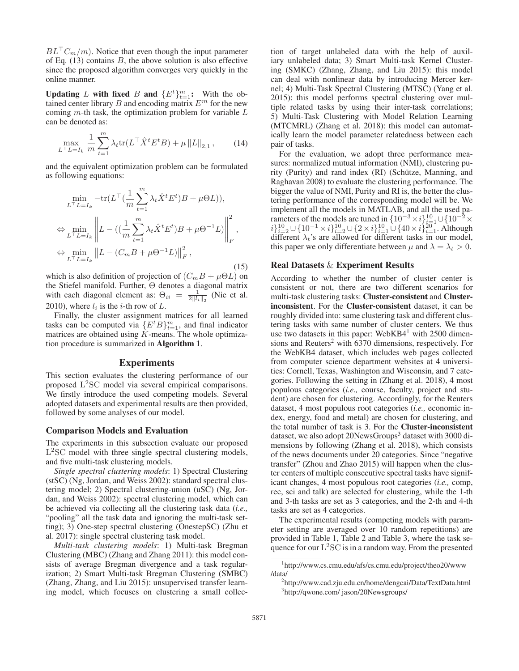$BL^{\top}C_m/m$ ). Notice that even though the input parameter of Eq.  $(13)$  contains B, the above solution is also effective since the proposed algorithm converges very quickly in the online manner.

Updating L with fixed B and  $\{E^t\}_{t=1}^m$ : With the obtained center library  $B$  and encoding matrix  $E^m$  for the new coming  $m$ -th task, the optimization problem for variable  $L$ can be denoted as:

$$
\max_{L^{\top}L=I_{k}} \frac{1}{m} \sum_{t=1}^{m} \lambda_{t} \text{tr}(L^{\top} \hat{X}^{t} E^{t} B) + \mu ||L||_{2,1}, \qquad (14)
$$

and the equivalent optimization problem can be formulated as following equations:

$$
\min_{L^{\top}L=I_{k}} -\text{tr}(L^{\top}(\frac{1}{m}\sum_{t=1}^{m}\lambda_{t}\hat{X}^{t}E^{t})B + \mu\Theta L)),
$$
\n
$$
\Leftrightarrow \min_{L^{\top}L=I_{k}} \left\| L - ((\frac{1}{m}\sum_{t=1}^{m}\lambda_{t}\hat{X}^{t}E^{t})B + \mu\Theta^{-1}L) \right\|_{F}^{2},
$$
\n
$$
\Leftrightarrow \min_{L^{\top}L=I_{k}} \left\| L - (C_{m}B + \mu\Theta^{-1}L) \right\|_{F}^{2},
$$
\n(15)

which is also definition of projection of  $(C_mB + \mu \Theta L)$  on the Stiefel manifold. Further, Θ denotes a diagonal matrix with each diagonal element as:  $\Theta_{ii} = \frac{1}{2||\mathbf{l}_i||_2}$  (Nie et al. 2010), where  $l_i$  is the *i*-th row of  $L$ .

Finally, the cluster assignment matrices for all learned tasks can be computed via  $\{E^{t}B\}_{t=1}^{m}$ , and final indicator matrices are obtained using  $K$ -means. The whole optimization procedure is summarized in Algorithm 1.

### **Experiments**

This section evaluates the clustering performance of our proposed L<sup>2</sup>SC model via several empirical comparisons. We firstly introduce the used competing models. Several adopted datasets and experimental results are then provided, followed by some analyses of our model.

#### Comparison Models and Evaluation

The experiments in this subsection evaluate our proposed  $L<sup>2</sup>SC$  model with three single spectral clustering models, and five multi-task clustering models.

*Single spectral clustering models*: 1) Spectral Clustering (stSC) (Ng, Jordan, and Weiss 2002): standard spectral clustering model; 2) Spectral clustering-union (uSC) (Ng, Jordan, and Weiss 2002): spectral clustering model, which can be achieved via collecting all the clustering task data (*i.e.,* "pooling" all the task data and ignoring the multi-task setting); 3) One-step spectral clustering (OnestepSC) (Zhu et al. 2017): single spectral clustering task model.

*Multi-task clustering models*: 1) Multi-task Bregman Clustering (MBC) (Zhang and Zhang 2011): this model consists of average Bregman divergence and a task regularization; 2) Smart Multi-task Bregman Clustering (SMBC) (Zhang, Zhang, and Liu 2015): unsupervised transfer learning model, which focuses on clustering a small collection of target unlabeled data with the help of auxiliary unlabeled data; 3) Smart Multi-task Kernel Clustering (SMKC) (Zhang, Zhang, and Liu 2015): this model can deal with nonlinear data by introducing Mercer kernel; 4) Multi-Task Spectral Clustering (MTSC) (Yang et al. 2015): this model performs spectral clustering over multiple related tasks by using their inter-task correlations; 5) Multi-Task Clustering with Model Relation Learning (MTCMRL) (Zhang et al. 2018): this model can automatically learn the model parameter relatedness between each pair of tasks.

For the evaluation, we adopt three performance measures: normalized mutual information (NMI), clustering purity (Purity) and rand index (RI) (Schütze, Manning, and Raghavan 2008) to evaluate the clustering performance. The bigger the value of NMI, Purity and RI is, the better the clustering performance of the corresponding model will be. We implement all the models in MATLAB, and all the used parameters of the models are tuned in  $\{10^{-3} \times i\}^{10}_{\frac{1}{60}-1} \cup \{10^{-2} \times i\}$  $i\}_{i=2}^{10}$  ∪  $\{10^{-1} \times i\}_{i=2}^{10}$  ∪  $\{2 \times i\}_{i=1}^{10}$  ∪  $\{40 \times i\}_{i=1}^{20}$ . Although different  $\lambda_t$ 's are allowed for different tasks in our model, this paper we only differentiate between  $\mu$  and  $\lambda = \lambda_t > 0$ .

### Real Datasets & Experiment Results

According to whether the number of cluster center is consistent or not, there are two different scenarios for multi-task clustering tasks: Cluster-consistent and Clusterinconsistent. For the Cluster-consistent dataset, it can be roughly divided into: same clustering task and different clustering tasks with same number of cluster centers. We thus use two datasets in this paper:  $WebKB4<sup>1</sup>$  with 2500 dimensions and Reuters<sup>2</sup> with 6370 dimensions, respectively. For the WebKB4 dataset, which includes web pages collected from computer science department websites at 4 universities: Cornell, Texas, Washington and Wisconsin, and 7 categories. Following the setting in (Zhang et al. 2018), 4 most populous categories (*i.e.,* course, faculty, project and student) are chosen for clustering. Accordingly, for the Reuters dataset, 4 most populous root categories (*i.e.,* economic index, energy, food and metal) are chosen for clustering, and the total number of task is 3. For the Cluster-inconsistent dataset, we also adopt 20NewsGroups<sup>3</sup> dataset with 3000 dimensions by following (Zhang et al. 2018), which consists of the news documents under 20 categories. Since "negative transfer" (Zhou and Zhao 2015) will happen when the cluster centers of multiple consecutive spectral tasks have significant changes, 4 most populous root categories (*i.e.,* comp, rec, sci and talk) are selected for clustering, while the 1-th and 3-th tasks are set as 3 categories, and the 2-th and 4-th tasks are set as 4 categories.

The experimental results (competing models with parameter setting are averaged over 10 random repetitions) are provided in Table 1, Table 2 and Table 3, where the task sequence for our  $L^2SC$  is in a random way. From the presented

<sup>1</sup> http://www.cs.cmu.edu/afs/cs.cmu.edu/project/theo20/www /data/

<sup>2</sup> http://www.cad.zju.edu.cn/home/dengcai/Data/TextData.html 3 http://qwone.com/ jason/20Newsgroups/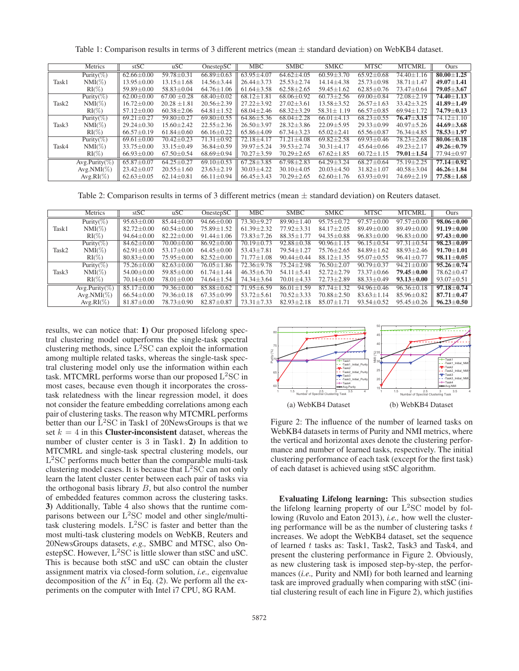|       | Metrics        | stSC             | uSC              | OnestepSC        | MBC              | <b>SMBC</b>      | <b>SMKC</b>      | <b>MTSC</b>      | <b>MTCMRL</b>    | Ours                 |
|-------|----------------|------------------|------------------|------------------|------------------|------------------|------------------|------------------|------------------|----------------------|
|       | Purity(%)      | $62.66 \pm 0.00$ | $59.78 \pm 0.31$ | $66.89 \pm 0.63$ | $63.95 \pm 4.07$ | $64.62 \pm 4.05$ | $60.59 \pm 3.70$ | $65.92 \pm 0.68$ | 74.40±1.16       | $80.00 + 1.25$       |
| Task1 | $NMI(\%)$      | $13.95 \pm 0.00$ | $13.15 \pm 1.68$ | $14.56 \pm 3.44$ | $26.44 \pm 3.73$ | $25.53 \pm 2.74$ | $14.14 \pm 4.38$ | $25.73 \pm 0.98$ | $38.71 \pm 1.47$ | $49.07 \pm 1.41$     |
|       | $RI(\%)$       | $59.89 \pm 0.00$ | $58.83 \pm 0.04$ | $64.76 \pm 1.06$ | $61.64 \pm 3.58$ | $62.58 \pm 2.65$ | $59.45 \pm 1.62$ | $62.85 \pm 0.76$ | 73.47±0.64       | $79.05 \pm 3.67$     |
|       | Purity(%)      | $62.00 \pm 0.00$ | $67.00 \pm 0.28$ | $68.40 \pm 0.02$ | $68.12 \pm 1.81$ | $68.06 \pm 0.92$ | $60.73 \pm 2.56$ | $69.00 \pm 0.84$ | $72.08 \pm 2.19$ | $74.40 \pm 1.13$     |
| Task2 | $NMI(\%)$      | $16.72 \pm 0.00$ | $20.28 \pm 1.81$ | $20.56 \pm 2.39$ | $27.22 \pm 3.92$ | $27.02 \pm 3.61$ | $13.58 \pm 3.52$ | $26.57 \pm 1.63$ | $33.42 \pm 3.25$ | $41.89 \pm 1.49$     |
|       | $RI(\%)$       | $57.12 \pm 0.00$ | $60.38 \pm 2.06$ | $64.81 \pm 1.52$ | $68.04 \pm 2.46$ | $68.32 \pm 3.29$ | $58.31 \pm 1.19$ | $66.57 \pm 0.85$ | $69.94 \pm 1.72$ | $74.79 \pm 0.13$     |
| Task3 | Purity( $\%$ ) | $69.21 \pm 0.27$ | $59.80 \pm 0.27$ | $69.80 \pm 0.55$ | $64.86 \pm 5.36$ | $68.04 \pm 2.28$ | $66.01 \pm 4.13$ | $68.23 \pm 0.55$ | $76.47 \pm 3.15$ | $74.12 \pm 1.10$     |
|       | $NMI(\%)$      | $29.24 \pm 0.30$ | $15.60 \pm 2.42$ | $22.55 \pm 2.36$ | $26.50 \pm 3.97$ | $28.32 \pm 3.86$ | $22.09 \pm 5.95$ | $29.33 \pm 0.99$ | $40.97 \pm 5.26$ | $44.69 \pm 3.68$     |
|       | $RI(\%)$       | $66.57 \pm 0.19$ | $61.84 \pm 0.60$ | $66.16 \pm 0.22$ | $65.86 \pm 4.09$ | $67.34 \pm 3.23$ | $65.02 \pm 2.41$ | $65.56 \pm 0.87$ | 76.34±4.85       | $78.53 \pm 1.97$     |
|       | Purity(%)      | $69.61 \pm 0.00$ | $70.42 \pm 0.23$ | $71.31 \pm 0.92$ | $72.18 \pm 4.17$ | $71.21 \pm 4.08$ | $69.82 \pm 2.58$ | $69.93 \pm 0.46$ | $78.23 \pm 2.68$ | $80.06 \pm 0.18$     |
| Task4 | $NMI(\%)$      | $33.75 \pm 0.00$ | $33.15 \pm 0.49$ | $36.84 \pm 0.59$ | 39.97±5.24       | $39.53 \pm 2.74$ | $30.31 \pm 4.17$ | $45.64 \pm 0.66$ | $49.23 \pm 2.17$ | $49.26 \pm 0.79$     |
|       | $RI(\%)$       | $66.93 \pm 0.00$ | $67.50 \pm 0.54$ | $68.69 \pm 0.94$ | $70.27 \pm 3.59$ | $70.29 \pm 2.65$ | $67.62 \pm 1.85$ | $60.72 \pm 1.15$ | $79.01 \pm 1.54$ | 77.94 $\pm$ 0.97     |
|       | Avg.Purity(%)  | $65.87 \pm 0.07$ | $64.25 \pm 0.27$ | $69.10 \pm 0.53$ | $67.28 + 3.85$   | $67.98 \pm 2.83$ | $64.29 + 3.24$   | $68.27 \pm 0.64$ | $75.19 \pm 2.25$ | $77.14 + 0.92$       |
|       | $Avg.NMI(\%)$  | $23.42 \pm 0.07$ | $20.55 \pm 1.60$ | $23.63 \pm 2.19$ | $30.03 \pm 4.22$ | $30.10 \pm 4.05$ | $20.03 \pm 4.50$ | $31.82 \pm 1.07$ | $40.58 \pm 3.04$ | $46.26 \pm 1.84$     |
|       | $Avg.RI(\%)$   | $62.63 \pm 0.05$ | $62.14 \pm 0.81$ | $66.11 \pm 0.94$ | $66.45 \pm 3.43$ | $70.29 \pm 2.65$ | $62.60 \pm 1.76$ | $63.93 \pm 0.91$ | $74.69 \pm 2.19$ | $77.58 \!\pm\! 1.68$ |

Table 1: Comparison results in terms of 3 different metrics (mean  $\pm$  standard deviation) on WebKB4 dataset.

Table 2: Comparison results in terms of 3 different metrics (mean  $\pm$  standard deviation) on Reuters dataset.

|       | Metrics          | stSC             | uSC              | OnestepSC        | <b>MBC</b>       | <b>SMBC</b>        | <b>SMKC</b>      | <b>MTSC</b>      | <b>MTCMRL</b>    | Ours             |
|-------|------------------|------------------|------------------|------------------|------------------|--------------------|------------------|------------------|------------------|------------------|
| Task1 | Purity(%)        | $95.63 + 0.00$   | $85.44 + 0.00$   | $94.66 + 0.00$   | $73.30 \pm 9.27$ | $89.90 + 1$<br>.40 | $95.75 + 0.72$   | $97.57 + 0.00$   | $97.57 + 0.00$   | $98.06 + 0.00$   |
|       | $NMI(\%)$        | $82.72 \pm 0.00$ | $60.54 + 0.00$   | $75.89 \pm 1.52$ | $61.39 \pm 2.32$ | $77.92 + 3.31$     | $84.17 + 2.05$   | $89.49 + 0.00$   | $89.49 + 0.00$   | $91.19 \pm 0.00$ |
|       | $RI(\%)$         | $94.64 \pm 0.00$ | $82.22 + 0.00$   | $91.44 \pm 1.06$ | $73.83 + 7.26$   | $88.35 \pm 1.77$   | $94.35 + 0.88$   | $96.83 \pm 0.00$ | $96.83 \pm 0.00$ | $97.43 \pm 0.00$ |
|       | Purity $(\%)$    | $84.62 + 0.00$   | $70.00 + 0.00$   | $86.92 \pm 0.00$ | $70.19 + 0.73$   | $92.88 \pm 0.38$   | $90.96 \pm 1.15$ | $96.15 \pm 0.54$ | $97.31 + 0.54$   | $98.23 + 0.09$   |
| Task2 | $NMI(\%)$        | $62.91 \pm 0.00$ | $53.17 + 0.00$   | $64.45 \pm 0.00$ | $53.43 + 7.81$   | $79.54 \pm 1.27$   | $75.76 + 2.65$   | $84.89 \pm 1.62$ | $88.93 + 2.46$   | $91.70 + 1.01$   |
|       | $RI(\%)$         | $80.83 \pm 0.00$ | $75.95 \pm 0.00$ | $82.52 \pm 0.00$ | $71.77 \pm 1.08$ | $90.44 \pm 0.44$   | $88.12 \pm 1.35$ | $95.07 \pm 0.55$ | $96.41 \pm 0.77$ | $98.11 \pm 0.05$ |
|       | Purity( $\%$ )   | $75.26 \pm 0.00$ | $82.63 + 0.00$   | 76.05±1.86       | $72.36 + 9.78$   | $75.24 \pm 2.98$   | $76.50 + 2.07$   | $90.79 \pm 0.37$ | $94.21 + 0.00$   | $95.26 + 0.74$   |
| Task3 | $NMI(\%)$        | $54.00 \pm 0.00$ | $59.85 \pm 0.00$ | $61.74 \pm 1.44$ | $46.35 + 6.70$   | $54.11 \pm 5.41$   | $52.72 + 2.79$   | $73.37 \pm 0.66$ | $79.45 + 0.00$   | $78.62 + 0.47$   |
|       | $RI(\%)$         | $70.14 \pm 0.00$ | $78.01 \pm 0.00$ | $74.64 \pm 1.54$ | $74.34 \pm 3.64$ | $70.01 \pm 4.33$   | $72.73 + 2.89$   | $88.33 \pm 0.49$ | $93.13 \pm 0.00$ | $93.07 \pm 0.51$ |
|       | $Avg.Purity(\%)$ | $85.17 \pm 0.00$ | $79.36 + 0.00$   | $85.88 \pm 0.62$ | $71.95 + 6.59$   | $86.01 + 1.59$     | $87.74 + 1.32$   | $94.96 \pm 0.46$ | $96.36 + 0.18$   | $97.18 + 0.74$   |
|       | $Avg.NMI(\%)$    | $66.54 \pm 0.00$ | 79.36±0.18       | $67.35 \pm 0.99$ | $53.72 \pm 5.61$ | $70.52 \pm 3.33$   | $70.88 + 2.50$   | $83.63 + 1.14$   | $85.96 + 0.82$   | $87.71 + 0.47$   |
|       | $Avg.RI(\%)$     | $81.87 \pm 0.00$ | 78.73±0.90       | $82.87 \pm 0.87$ | $73.31 \pm 7.33$ | $82.93 \pm 2.18$   | $85.07 + 1.71$   | $93.54 + 0.52$   | $95.45 \pm 0.26$ | $96.23 \pm 0.50$ |

results, we can notice that: 1) Our proposed lifelong spectral clustering model outperforms the single-task spectral clustering methods, since  $L^2$ SC can exploit the information among multiple related tasks, whereas the single-task spectral clustering model only use the information within each task. MTCMRL performs worse than our proposed L<sup>2</sup>SC in most cases, because even though it incorporates the crosstask relatedness with the linear regression model, it does not consider the feature embedding correlations among each pair of clustering tasks. The reason why MTCMRL performs better than our  $L<sup>2</sup>SC$  in Task1 of 20NewsGroups is that we set  $k = 4$  in this **Cluster-inconsistent** dataset, whereas the number of cluster center is 3 in Task1. 2) In addition to MTCMRL and single-task spectral clustering models, our L<sup>2</sup>SC performs much better than the comparable multi-task clustering model cases. It is because that  $\rm L<sup>2</sup>SC$  can not only learn the latent cluster center between each pair of tasks via the orthogonal basis library  $B$ , but also control the number of embedded features common across the clustering tasks. 3) Additionally, Table 4 also shows that the runtime comparisons between our  $L^2$ SC model and other single/multitask clustering models.  $L^{2}SC$  is faster and better than the most multi-task clustering models on WebKB, Reuters and 20NewsGroups datasets, *e.g.,* SMBC and MTSC, also OnestepSC. However,  $L^2$ SC is little slower than stSC and uSC. This is because both stSC and uSC can obtain the cluster assignment matrix via closed-form solution, *i.e.,* eigenvalue decomposition of the  $K<sup>t</sup>$  in Eq. (2). We perform all the experiments on the computer with Intel i7 CPU, 8G RAM.



Figure 2: The influence of the number of learned tasks on WebKB4 datasets in terms of Purity and NMI metrics, where the vertical and horizontal axes denote the clustering performance and number of learned tasks, respectively. The initial clustering performance of each task (except for the first task) of each dataset is achieved using stSC algorithm.

Evaluating Lifelong learning: This subsection studies the lifelong learning property of our  $L<sup>2</sup>SC$  model by following (Ruvolo and Eaton 2013), *i.e.,* how well the clustering performance will be as the number of clustering tasks  $t$ increases. We adopt the WebKB4 dataset, set the sequence of learned t tasks as: Task1, Task2, Task3 and Task4, and present the clustering performance in Figure 2. Obviously, as new clustering task is imposed step-by-step, the performances (*i.e.,* Purity and NMI) for both learned and learning task are improved gradually when comparing with stSC (initial clustering result of each line in Figure 2), which justifies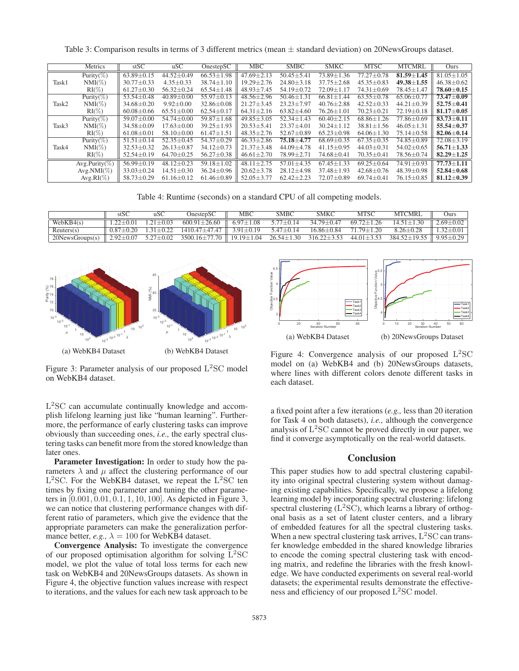Table 3: Comparison results in terms of 3 different metrics (mean ± standard deviation) on 20NewsGroups dataset.

|       | Metrics            | stSC             | uSC              | OnestepSC        | MBC              | <b>SMBC</b>                 | <b>SMKC</b>      | <b>MTSC</b>      | <b>MTCMRL</b>    | Ours             |
|-------|--------------------|------------------|------------------|------------------|------------------|-----------------------------|------------------|------------------|------------------|------------------|
| Task1 | Purity(%)          | $63.89 \pm 0.15$ | $44.52 \pm 0.49$ | $66.53 \pm 1.98$ | $47.69 + 2.13$   | $50.45 \pm 5.41$            | $73.89 + 1.36$   | $77.27 + 0.78$   | $81.59 + 1.45$   | $81.05 + 1.05$   |
|       | $NMI(\%)$          | $30.77 \pm 0.33$ | $4.35 \pm 0.33$  | $38.74 \pm 1.10$ | $19.29 \pm 2.76$ | $24.80 \pm 3.18$            | $37.75 \pm 2.68$ | $45.35 \pm 0.83$ | $49.38 \pm 1.55$ | $46.38 \pm 0.62$ |
|       | $RI(\%)$           | $61.27 \pm 0.30$ | $56.32 \pm 0.24$ | $65.54 \pm 1.48$ | $48.93 \pm 7.45$ | $54.19 \pm 0.72$            | $72.09 \pm 1.17$ | $74.31 \pm 0.69$ | $78.45 \pm 1.47$ | $78.60 \pm 0.15$ |
|       | Purity(%)          | $53.54 \pm 0.48$ | $40.89 \pm 0.00$ | $55.97 \pm 0.13$ | $48.56 \pm 2.96$ | $50.46 \pm 1.31$            | $66.81 \pm 1.44$ | $63.55 \pm 0.78$ | $65.06 \pm 0.77$ | $73.47 \pm 0.09$ |
| Task2 | $NMI(\%)$          | $34.68 \pm 0.20$ | $9.92 + 0.00$    | $32.86 \pm 0.08$ | $21.27 + 3.45$   | $23.23 \pm 7.97$            | $40.76 \pm 2.88$ | $42.52 + 0.33$   | $44.21 + 0.39$   | $52.75 \pm 0.41$ |
|       | $RI(\%)$           | $60.08 \pm 0.66$ | $65.51 \pm 0.00$ | $62.54 \pm 0.17$ | $64.31 \pm 2.16$ | $63.82 \pm 4.60$            | $76.26 \pm 1.01$ | $70.23 \pm 0.21$ | $72.19 \pm 0.18$ | $81.17 \pm 0.05$ |
| Task3 | Purity(%)          | $59.07 \pm 0.00$ | $54.74 + 0.00$   | $59.87 \pm 1.68$ | $49.85 \pm 3.05$ | $\overline{52.34} \pm 1.43$ | $60.40 \pm 2.15$ | $68.86 \pm 1.26$ | $77.86 \pm 0.69$ | $83.73 \pm 0.11$ |
|       | $NMI(\%)$          | $34.58 \pm 0.09$ | $17.63 \pm 0.00$ | $39.25 \pm 1.93$ | $20.53 \pm 5.41$ | $23.37 \pm 4.01$            | $30.24 \pm 1.12$ | $38.81 \pm 1.56$ | $46.05 \pm 1.31$ | $55.54 \pm 0.37$ |
|       | $RI(\%)$           | $61.08 \pm 0.01$ | $58.10 \pm 0.00$ | $61.47 \pm 1.51$ | $48.35 \pm 2.76$ | $52.67 \pm 0.89$            | $65.23 \pm 0.98$ | $64.06 \pm 1.30$ | $75.14 \pm 0.58$ | $82.06 \pm 0.14$ |
|       | Purity $(\%)$      | $51.51 \pm 0.14$ | $52.35 \pm 0.45$ | $54.37 \pm 0.29$ | $46.33 \pm 2.86$ | $75.18 + 4.77$              | $68.69 \pm 0.35$ | $67.35 \pm 0.35$ | 74.85±0.89       | $72.08 \pm 3.19$ |
| Task4 | $NMI(\%)$          | $32.53 \pm 0.32$ | $26.13 \pm 0.87$ | $34.12 \pm 0.73$ | $21.37 \pm 3.48$ | $44.09 \pm 4.78$            | $41.15 \pm 0.95$ | $44.03 \pm 0.31$ | $54.02 \pm 0.65$ | $56.71 \pm 1.33$ |
|       | $RI(\%)$           | $52.54 \pm 0.19$ | $64.70 \pm 0.25$ | $56.27 \pm 0.38$ | $46.61 \pm 2.70$ | 78.99±2.71                  | $74.68 \pm 0.41$ | $70.35 \pm 0.41$ | 78.56±0.74       | $82.29 \pm 1.25$ |
|       | Avg.Purity( $\%$ ) | $56.99 + 0.19$   | $48.12 \pm 0.23$ | $59.18 \pm 1.02$ | $48.11 \pm 2.75$ | $57.01 \pm 4.35$            | $67.45 \pm 1.33$ | $69.25 \pm 0.64$ | $74.91 \pm 0.93$ | $77.73 \pm 1.11$ |
|       | $Avg.NMI(\%)$      | $33.03 + 0.24$   | $14.51 \pm 0.30$ | $36.24 \pm 0.96$ | $20.62 + 3.78$   | $28.12 + 4.98$              | $37.48 + 1.93$   | $42.68 + 0.76$   | $48.39 + 0.98$   | $52.84 \pm 0.68$ |
|       | $Avg.RI(\%)$       | $58.73 \pm 0.29$ | $61.16 \pm 0.12$ | $61.46 \pm 0.89$ | $52.05 \pm 3.77$ | $62.42 \pm 2.23$            | $72.07 \pm 0.89$ | 69.74 $\pm$ 0.41 | $76.15 \pm 0.85$ | $81.12 \pm 0.39$ |
|       |                    |                  |                  |                  |                  |                             |                  |                  |                  |                  |

Table 4: Runtime (seconds) on a standard CPU of all competing models.

|                  |                 | uSC             | OnestepSC           | MBC              | SMBC             | <b>SMKC</b>       | <b>MTSC</b>      | <b>MTCMRL</b>                        | Jurs            |
|------------------|-----------------|-----------------|---------------------|------------------|------------------|-------------------|------------------|--------------------------------------|-----------------|
| WebKB4(s)        | $22+0.01$       | $21 + 0.03$     | $600.91 + 26.60$    | $6.97 + 1.08$    | $577+0.14$       | $3479 + 047$      | $69.72 + 1.26$   | $1451+130$                           | $2.69 \pm 0.02$ |
| Reuters(s)       | $0.87 + 0.20$   | $31 + 0.22$     | $141047 + 4747$     | $391 + 019$      | $5.47 + 0.14$    | $1686+0.84$       | 71.79+1.20       | $8.26 + 0.28$                        | $1.32 + 0.01$   |
| 20News Groups(s) | $2.92 \pm 0.07$ | $5.27 \pm 0.02$ | $3500.16 \pm 77.70$ | $19.19 \pm 1.04$ | $26.54 \pm 1.30$ | $316.22 \pm 3.53$ | $44.01 \pm 3.53$ | $384.52 \pm 19.55$   9.95 $\pm$ 0.29 |                 |



Figure 3: Parameter analysis of our proposed  $L<sup>2</sup>SC$  model on WebKB4 dataset.

 $L<sup>2</sup>SC$  can accumulate continually knowledge and accomplish lifelong learning just like "human learning". Furthermore, the performance of early clustering tasks can improve obviously than succeeding ones, *i.e.,* the early spectral clustering tasks can benefit more from the stored knowledge than later ones.

Parameter Investigation: In order to study how the parameters  $\lambda$  and  $\mu$  affect the clustering performance of our  $L<sup>2</sup>SC$ . For the WebKB4 dataset, we repeat the  $L<sup>2</sup>SC$  ten times by fixing one parameter and tuning the other parameters in [0.001, 0.01, 0.1, 1, 10, 100]. As depicted in Figure 3, we can notice that clustering performance changes with different ratio of parameters, which give the evidence that the appropriate parameters can make the generalization performance better, *e.g.*,  $\lambda = 100$  for WebKB4 dataset.

Convergence Analysis: To investigate the convergence of our proposed optimisation algorithm for solving L<sup>2</sup>SC model, we plot the value of total loss terms for each new task on WebKB4 and 20NewsGroups datasets. As shown in Figure 4, the objective function values increase with respect to iterations, and the values for each new task approach to be



Figure 4: Convergence analysis of our proposed  $L<sup>2</sup>SC$ model on (a) WebKB4 and (b) 20NewsGroups datasets, where lines with different colors denote different tasks in each dataset.

a fixed point after a few iterations (*e.g.,* less than 20 iteration for Task 4 on both datasets), *i.e.,* although the convergence analysis of  $L<sup>2</sup>SC$  cannot be proved directly in our paper, we find it converge asymptotically on the real-world datasets.

### Conclusion

This paper studies how to add spectral clustering capability into original spectral clustering system without damaging existing capabilities. Specifically, we propose a lifelong learning model by incorporating spectral clustering: lifelong spectral clustering  $(L^2SC)$ , which learns a library of orthogonal basis as a set of latent cluster centers, and a library of embedded features for all the spectral clustering tasks. When a new spectral clustering task arrives,  $L<sup>2</sup>SC$  can transfer knowledge embedded in the shared knowledge libraries to encode the coming spectral clustering task with encoding matrix, and redefine the libraries with the fresh knowledge. We have conducted experiments on several real-world datasets; the experimental results demonstrate the effectiveness and efficiency of our proposed L<sup>2</sup>SC model.